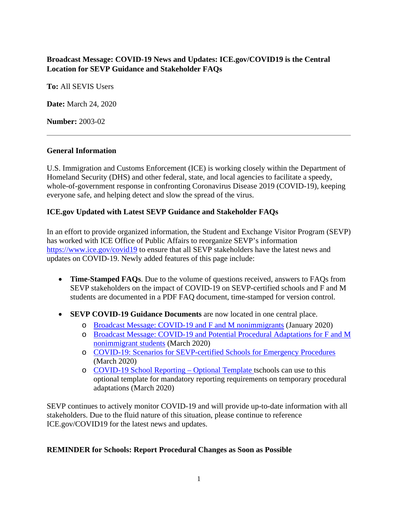# **Broadcast Message: COVID-19 News and Updates: ICE.gov/COVID19 is the Central Location for SEVP Guidance and Stakeholder FAQs**

**To:** All SEVIS Users

**Date:** March 24, 2020

**Number:** 2003-02

#### **General Information**

U.S. Immigration and Customs Enforcement (ICE) is working closely within the Department of Homeland Security (DHS) and other federal, state, and local agencies to facilitate a speedy, whole-of-government response in confronting Coronavirus Disease 2019 (COVID-19), keeping everyone safe, and helping detect and slow the spread of the virus.

### **ICE.gov Updated with Latest SEVP Guidance and Stakeholder FAQs**

In an effort to provide organized information, the Student and Exchange Visitor Program (SEVP) has worked with ICE Office of Public Affairs to reorganize SEVP's information <https://www.ice.gov/covid19> to ensure that all SEVP stakeholders have the latest news and updates on COVID-19. Newly added features of this page include:

- **Time-Stamped FAQs**. Due to the volume of questions received, answers to FAQs from SEVP stakeholders on the impact of COVID-19 on SEVP-certified schools and F and M students are documented in a PDF FAQ document, time-stamped for version control.
- **SEVP COVID-19 Guidance Documents** are now located in one central place.
	- o [Broadcast Message: COVID-19](https://www.ice.gov/doclib/sevis/pdf/bcm2001-05.pdf) and F and M nonimmigrants (January 2020)
	- o Broadcast Message: COVID-19 [and Potential Procedural Adaptations for F and M](https://www.ice.gov/doclib/sevis/pdf/bcm2003-01.pdf)  [nonimmigrant students](https://www.ice.gov/doclib/sevis/pdf/bcm2003-01.pdf) (March 2020)
	- o [COVID-19: Scenarios for SEVP-certified Schools for Emergency Procedures](https://www.ice.gov/sites/default/files/documents/Document/2020/Coronavirus%20Guidance_3.13.20.pdf) (March 2020)
	- o [COVID-19](https://www.ice.gov/doclib/sevis/pdf/coronavirusSEVP_ReportingTemplate.pdf) School Reporting Optional Template tschools can use to this optional template for mandatory reporting requirements on temporary procedural adaptations (March 2020)

SEVP continues to actively monitor COVID-19 and will provide up-to-date information with all stakeholders. Due to the fluid nature of this situation, please continue to reference ICE.gov/COVID19 for the latest news and updates.

#### **REMINDER for Schools: Report Procedural Changes as Soon as Possible**